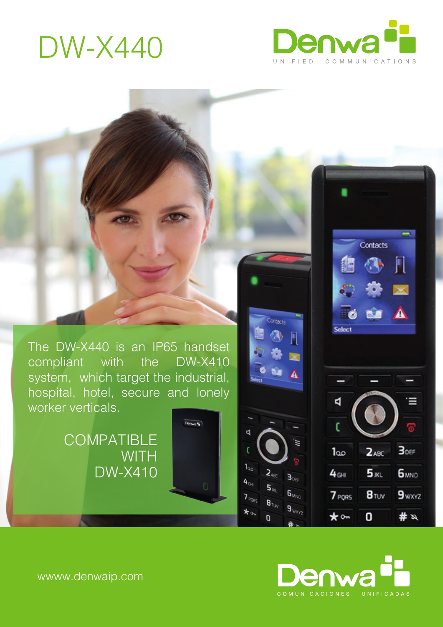# DW-X440



**Contacts** 

小

色度

 $2<sub>ABC</sub>$ 

 $5<sub>mt</sub>$ 

 $B_{\text{TV}}$ 

0

Select

ч

 $100$ 

 $4<sub>GH</sub>$ 

7 PORS

 $\star$ <sub>o</sub>

Contacts

Ц

r

 $1<sub>0</sub>$ 

 $4<sub>ch</sub>$ 

 $7<sub>PQR</sub>$ 

 $*$ 

 $2_{480}$ 

 $5<sub>k0</sub>$ 

 $\pmb{8}_{\text{TV}}$ 

П

ΠI

 $B_{0m}$ 

 $6_{w_{N_0}}$ 

 $9^{m}$ 

Fl

医

А

 $3000$ 

 $6<sub>MD</sub>$ 

 $9$ wxyz

 $\frac{a}{b}$ 

The DW-X440 is an IP65 handset compliant with the DW-X410 system, which target the industrial, hospital, hotel, secure and lonely worker verticals.

Denvaria

**COMPATIBLE WITH** DW-X410



wwww.denwaip.com